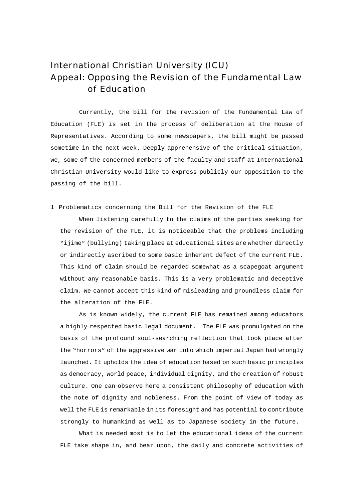# International Christian University (ICU) Appeal: Opposing the Revision of the Fundamental Law of Education

Currently, the bill for the revision of the Fundamental Law of Education (FLE) is set in the process of deliberation at the House of Representatives. According to some newspapers, the bill might be passed sometime in the next week. Deeply apprehensive of the critical situation, we, some of the concerned members of the faculty and staff at International Christian University would like to express publicly our opposition to the passing of the bill.

## 1 Problematics concerning the Bill for the Revision of the FLE

When listening carefully to the claims of the parties seeking for the revision of the FLE, it is noticeable that the problems including "ijime"(bullying) taking place at educational sites are whether directly or indirectly ascribed to some basic inherent defect of the current FLE. This kind of claim should be regarded somewhat as a scapegoat argument without any reasonable basis. This is a very problematic and deceptive claim. We cannot accept this kind of misleading and groundless claim for the alteration of the FLE.

As is known widely, the current FLE has remained among educators a highly respected basic legal document. The FLE was promulgated on the basis of the profound soul-searching reflection that took place after the "horrors"of the aggressive war into which imperial Japan had wrongly launched. It upholds the idea of education based on such basic principles as democracy, world peace, individual dignity, and the creation of robust culture. One can observe here a consistent philosophy of education with the note of dignity and nobleness. From the point of view of today as well the FLE is remarkable in its foresight and has potential to contribute strongly to humankind as well as to Japanese society in the future.

What is needed most is to let the educational ideas of the current FLE take shape in, and bear upon, the daily and concrete activities of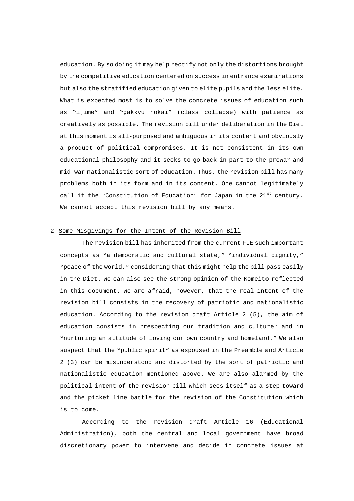education. By so doing it may help rectify not only the distortions brought by the competitive education centered on success in entrance examinations but also the stratified education given to elite pupils and the less elite. What is expected most is to solve the concrete issues of education such as "ijime" and "gakkyu hokai" (class collapse) with patience as creatively as possible. The revision bill under deliberation in the Diet at this moment is all-purposed and ambiguous in its content and obviously a product of political compromises. It is not consistent in its own educational philosophy and it seeks to go back in part to the prewar and mid-war nationalistic sort of education. Thus, the revision bill has many problems both in its form and in its content. One cannot legitimately call it the "Constitution of Education" for Japan in the  $21<sup>st</sup>$  century. We cannot accept this revision bill by any means.

## 2 Some Misgivings for the Intent of the Revision Bill

The revision bill has inherited from the current FLE such important concepts as "a democratic and cultural state," "individual dignity," "peace of the world," considering that this might help the bill pass easily in the Diet. We can also see the strong opinion of the Komeito reflected in this document. We are afraid, however, that the real intent of the revision bill consists in the recovery of patriotic and nationalistic education. According to the revision draft Article 2 (5), the aim of education consists in "respecting our tradition and culture" and in "nurturing an attitude of loving our own country and homeland." We also suspect that the "public spirit"as espoused in the Preamble and Article 2 (3) can be misunderstood and distorted by the sort of patriotic and nationalistic education mentioned above. We are also alarmed by the political intent of the revision bill which sees itself as a step toward and the picket line battle for the revision of the Constitution which is to come.

According to the revision draft Article 16 (Educational Administration), both the central and local government have broad discretionary power to intervene and decide in concrete issues at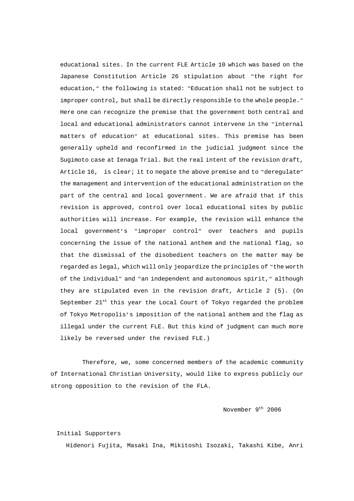educational sites. In the current FLE Article 10 which was based on the Japanese Constitution Article 26 stipulation about "the right for education," the following is stated: "Education shall not be subject to improper control, but shall be directly responsible to the whole people." Here one can recognize the premise that the government both central and local and educational administrators cannot intervene in the "internal matters of education" at educational sites. This premise has been generally upheld and reconfirmed in the judicial judgment since the Sugimoto case at Ienaga Trial. But the real intent of the revision draft, Article 16, is clear; it to negate the above premise and to "deregulate" the management and intervention of the educational administration on the part of the central and local government. We are afraid that if this revision is approved, control over local educational sites by public authorities will increase. For example, the revision will enhance the local government's "improper control" over teachers and pupils concerning the issue of the national anthem and the national flag, so that the dismissal of the disobedient teachers on the matter may be regarded as legal, which will only jeopardize the principles of "the worth of the individual" and "an independent and autonomous spirit," although they are stipulated even in the revision draft, Article 2 (5). (On September 21<sup>st</sup> this year the Local Court of Tokyo regarded the problem of Tokyo Metropolis's imposition of the national anthem and the flag as illegal under the current FLE. But this kind of judgment can much more likely be reversed under the revised FLE.)

Therefore, we, some concerned members of the academic community of International Christian University, would like to express publicly our strong opposition to the revision of the FLA.

November 9<sup>th</sup> 2006

#### Initial Supporters

Hidenori Fujita, Masaki Ina, Mikitoshi Isozaki, Takashi Kibe, Anri